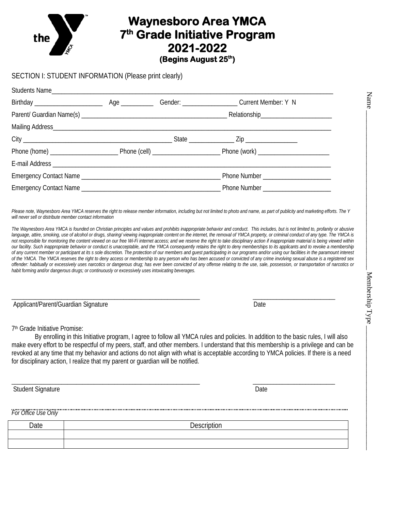## **Waynesboro Area YMCA 7th Grade Initiative Program 2021-2022**<br>(Begins August 25th)

## SECTION I: STUDENT INFORMATION (Please print clearly)

| Students Name |  |                                      |  |
|---------------|--|--------------------------------------|--|
|               |  |                                      |  |
|               |  |                                      |  |
|               |  |                                      |  |
|               |  |                                      |  |
|               |  |                                      |  |
|               |  |                                      |  |
|               |  | Phone Number _______________________ |  |
|               |  |                                      |  |

Please note, Waynesboro Area YMCA reserves the right to release member information, including but not limited to photo and name, as part of publicity and marketing efforts. The Y *will never sell or distribute member contact information*

The Waynesboro Area YMCA is founded on Christian principles and values and prohibits inappropriate behavior and conduct. This includes, but is not limited to, profanity or abusive language, attire, smoking, use of alcohol or drugs, sharing/ viewing inappropriate content on the internet, the removal of YMCA property, or criminal conduct of any type. The YMCA is *not responsible for monitoring the content viewed on our free Wi-Fi internet access; and we reserve the right to take disciplinary action if inappropriate material is being viewed within our facility. Such inappropriate behavior or conduct is unacceptable, and the YMCA consequently retains the right to deny memberships to its applicants and to revoke a membership of any current member or participant at its s sole discretion. The protection of our members and guest participating in our programs and/or using our facilities in the paramount interest*  of the YMCA. The YMCA reserves the right to deny access or membership to any person who has been accused or convicted of any crime involving sexual abuse is a registered sex *offender: habitually or excessively uses narcotics or dangerous drug; has ever been convicted of any offense relating to the use, sale, possession, or transportation of narcotics or habit forming and/or dangerous drugs; or continuously or excessively uses intoxicating beverages.*

\_\_\_\_\_\_\_\_\_\_\_\_\_\_\_\_\_\_\_\_\_\_\_\_\_\_\_\_\_\_\_\_\_\_\_\_\_\_\_\_\_\_\_\_\_\_\_\_\_\_\_\_\_\_\_\_\_\_\_\_\_\_\_\_ \_\_\_\_\_\_\_\_\_\_\_\_\_\_\_\_\_\_\_\_\_\_\_\_\_\_\_\_ Applicant/Parent/Guardian Signature **Date** Date

7th Grade Initiative Promise:

By enrolling in this Initiative program, I agree to follow all YMCA rules and policies. In addition to the basic rules, I will also make every effort to be respectful of my peers, staff, and other members. I understand that this membership is a privilege and can be revoked at any time that my behavior and actions do not align with what is acceptable according to YMCA policies. If there is a need for disciplinary action, I realize that my parent or guardian will be notified.

\_\_\_\_\_\_\_\_\_\_\_\_\_\_\_\_\_\_\_\_\_\_\_\_\_\_\_\_\_\_\_\_\_\_\_\_\_\_\_\_\_\_\_\_\_\_\_\_\_\_\_\_\_\_\_\_\_\_\_\_\_\_\_\_ \_\_\_\_\_\_\_\_\_\_\_\_\_\_\_\_\_\_\_\_\_\_\_\_\_\_\_\_

Student Signature Date

*For Office Use Only* 

Date Description

Name